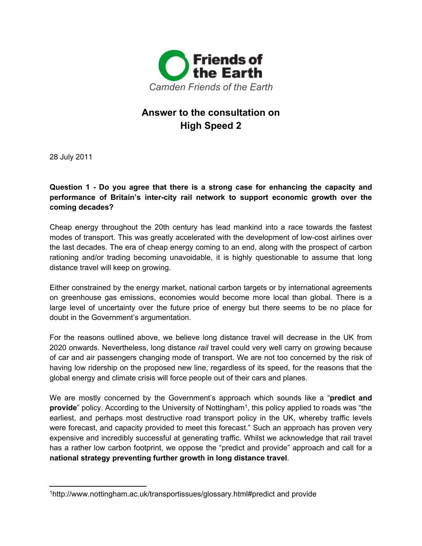

# **Answer to the consultation on High Speed 2**

28 July 2011

**Question 1 - Do you agree that there is a strong case for enhancing the capacity and performance of Britain's inter-city rail network to support economic growth over the coming decades?**

Cheap energy throughout the 20th century has lead mankind into a race towards the fastest modes of transport. This was greatly accelerated with the development of low-cost airlines over the last decades. The era of cheap energy coming to an end, along with the prospect of carbon rationing and/or trading becoming unavoidable, it is highly questionable to assume that long distance travel will keep on growing.

Either constrained by the energy market, national carbon targets or by international agreements on greenhouse gas emissions, economies would become more local than global. There is a large level of uncertainty over the future price of energy but there seems to be no place for doubt in the Government's argumentation.

For the reasons outlined above, we believe long distance travel will decrease in the UK from 2020 onwards. Nevertheless, long distance *rail* travel could very well carry on growing because of car and air passengers changing mode of transport. We are not too concerned by the risk of having low ridership on the proposed new line, regardless of its speed, for the reasons that the global energy and climate crisis will force people out of their cars and planes.

We are mostly concerned by the Government's approach which sounds like a "**predict and provide**" policy. According to the University of Nottingham<sup>1</sup>, this policy applied to roads was "the earliest, and perhaps most destructive road transport policy in the UK, whereby traffic levels were forecast, and capacity provided to meet this forecast." Such an approach has proven very expensive and incredibly successful at generating traffic. Whilst we acknowledge that rail travel has a rather low carbon footprint, we oppose the "predict and provide" approach and call for a **national strategy preventing further growth in long distance travel**.

<sup>1</sup>http://www.nottingham.ac.uk/transportissues/glossary.html#predict and provide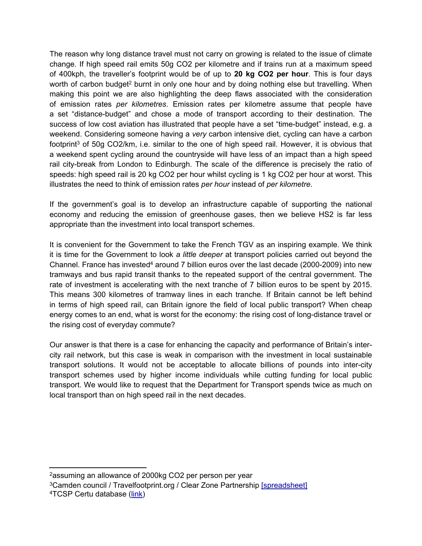The reason why long distance travel must not carry on growing is related to the issue of climate change. If high speed rail emits 50g CO2 per kilometre and if trains run at a maximum speed of 400kph, the traveller's footprint would be of up to **20 kg CO2 per hour**. This is four days worth of carbon budget<sup>2</sup> burnt in only one hour and by doing nothing else but travelling. When making this point we are also highlighting the deep flaws associated with the consideration of emission rates *per kilometres*. Emission rates per kilometre assume that people have a set "distance-budget" and chose a mode of transport according to their destination. The success of low cost aviation has illustrated that people have a set "time-budget" instead, e.g. a weekend. Considering someone having a *very* carbon intensive diet, cycling can have a carbon footprint<sup>3</sup> of 50g CO2/km, i.e. similar to the one of high speed rail. However, it is obvious that a weekend spent cycling around the countryside will have less of an impact than a high speed rail city-break from London to Edinburgh. The scale of the difference is precisely the ratio of speeds: high speed rail is 20 kg CO2 per hour whilst cycling is 1 kg CO2 per hour at worst. This illustrates the need to think of emission rates *per hour* instead of *per kilometre*.

If the government's goal is to develop an infrastructure capable of supporting the national economy and reducing the emission of greenhouse gases, then we believe HS2 is far less appropriate than the investment into local transport schemes.

It is convenient for the Government to take the French TGV as an inspiring example. We think it is time for the Government to look *a little deeper* at transport policies carried out beyond the Channel. France has invested<sup>4</sup> around 7 billion euros over the last decade (2000-2009) into new tramways and bus rapid transit thanks to the repeated support of the central government. The rate of investment is accelerating with the next tranche of 7 billion euros to be spent by 2015. This means 300 kilometres of tramway lines in each tranche. If Britain cannot be left behind in terms of high speed rail, can Britain ignore the field of local public transport? When cheap energy comes to an end, what is worst for the economy: the rising cost of long-distance travel or the rising cost of everyday commute?

Our answer is that there is a case for enhancing the capacity and performance of Britain's intercity rail network, but this case is weak in comparison with the investment in local sustainable transport solutions. It would not be acceptable to allocate billions of pounds into inter-city transport schemes used by higher income individuals while cutting funding for local public transport. We would like to request that the Department for Transport spends twice as much on local transport than on high speed rail in the next decades.

<sup>2</sup>assuming an allowance of 2000kg CO2 per person per year

<sup>&</sup>lt;sup>3</sup>Camden council / Travelfootprint.org / Clear Zone Partnership [\[spreadsheet\]](http://spreadsheets.google.com/ccc?key=0Agol553XfuDZdHlWSmRRckpXZWdSczdoVVBjbHU2dHc&hl=en_GB)

<sup>4</sup>TCSP Certu database [\(link\)](http://www.google.com/url?q=http%253A%252F%252Fwww.sumpa-med.net%252Fwp-content%252Fuploads%252F2011%252F06%252FSUMPAMED-CERTU-P-VARNAISON-31May2011-EngV3.pdf&sa=D&sntz=1&usg=AFQjCNHY65cisLNCLCUqWWjT1pH_0uhKEQ)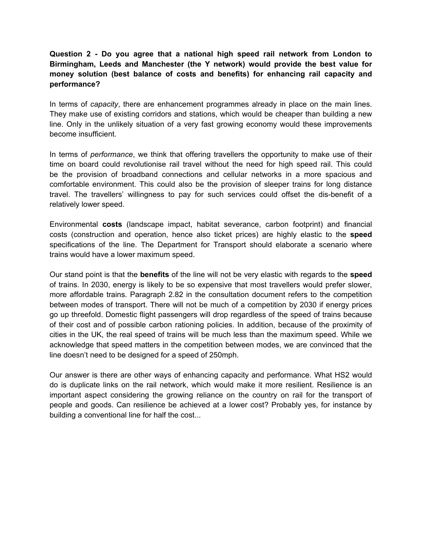# **Question 2 - Do you agree that a national high speed rail network from London to Birmingham, Leeds and Manchester (the Y network) would provide the best value for money solution (best balance of costs and benefits) for enhancing rail capacity and performance?**

In terms of *capacity*, there are enhancement programmes already in place on the main lines. They make use of existing corridors and stations, which would be cheaper than building a new line. Only in the unlikely situation of a very fast growing economy would these improvements become insufficient.

In terms of *performance*, we think that offering travellers the opportunity to make use of their time on board could revolutionise rail travel without the need for high speed rail. This could be the provision of broadband connections and cellular networks in a more spacious and comfortable environment. This could also be the provision of sleeper trains for long distance travel. The travellers' willingness to pay for such services could offset the dis-benefit of a relatively lower speed.

Environmental **costs** (landscape impact, habitat severance, carbon footprint) and financial costs (construction and operation, hence also ticket prices) are highly elastic to the **speed** specifications of the line. The Department for Transport should elaborate a scenario where trains would have a lower maximum speed.

Our stand point is that the **benefits** of the line will not be very elastic with regards to the **speed** of trains. In 2030, energy is likely to be so expensive that most travellers would prefer slower, more affordable trains. Paragraph 2.82 in the consultation document refers to the competition between modes of transport. There will not be much of a competition by 2030 if energy prices go up threefold. Domestic flight passengers will drop regardless of the speed of trains because of their cost and of possible carbon rationing policies. In addition, because of the proximity of cities in the UK, the real speed of trains will be much less than the maximum speed. While we acknowledge that speed matters in the competition between modes, we are convinced that the line doesn't need to be designed for a speed of 250mph.

Our answer is there are other ways of enhancing capacity and performance. What HS2 would do is duplicate links on the rail network, which would make it more resilient. Resilience is an important aspect considering the growing reliance on the country on rail for the transport of people and goods. Can resilience be achieved at a lower cost? Probably yes, for instance by building a conventional line for half the cost...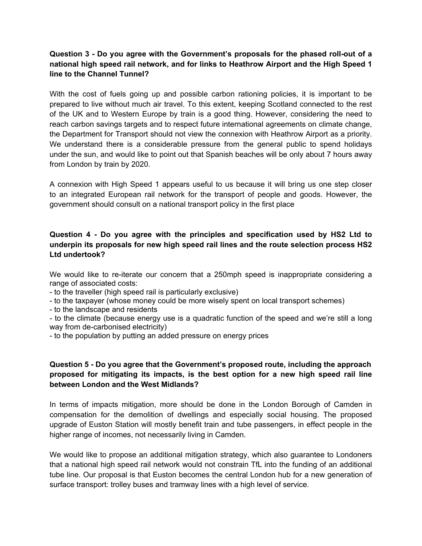### **Question 3 - Do you agree with the Government's proposals for the phased roll-out of a national high speed rail network, and for links to Heathrow Airport and the High Speed 1 line to the Channel Tunnel?**

With the cost of fuels going up and possible carbon rationing policies, it is important to be prepared to live without much air travel. To this extent, keeping Scotland connected to the rest of the UK and to Western Europe by train is a good thing. However, considering the need to reach carbon savings targets and to respect future international agreements on climate change, the Department for Transport should not view the connexion with Heathrow Airport as a priority. We understand there is a considerable pressure from the general public to spend holidays under the sun, and would like to point out that Spanish beaches will be only about 7 hours away from London by train by 2020.

A connexion with High Speed 1 appears useful to us because it will bring us one step closer to an integrated European rail network for the transport of people and goods. However, the government should consult on a national transport policy in the first place

### **Question 4 - Do you agree with the principles and specification used by HS2 Ltd to underpin its proposals for new high speed rail lines and the route selection process HS2 Ltd undertook?**

We would like to re-iterate our concern that a 250mph speed is inappropriate considering a range of associated costs:

- to the traveller (high speed rail is particularly exclusive)

- to the taxpayer (whose money could be more wisely spent on local transport schemes)

- to the landscape and residents

- to the climate (because energy use is a quadratic function of the speed and we're still a long way from de-carbonised electricity)

- to the population by putting an added pressure on energy prices

# **Question 5 - Do you agree that the Government's proposed route, including the approach proposed for mitigating its impacts, is the best option for a new high speed rail line between London and the West Midlands?**

In terms of impacts mitigation, more should be done in the London Borough of Camden in compensation for the demolition of dwellings and especially social housing. The proposed upgrade of Euston Station will mostly benefit train and tube passengers, in effect people in the higher range of incomes, not necessarily living in Camden.

We would like to propose an additional mitigation strategy, which also guarantee to Londoners that a national high speed rail network would not constrain TfL into the funding of an additional tube line. Our proposal is that Euston becomes the central London hub for a new generation of surface transport: trolley buses and tramway lines with a high level of service.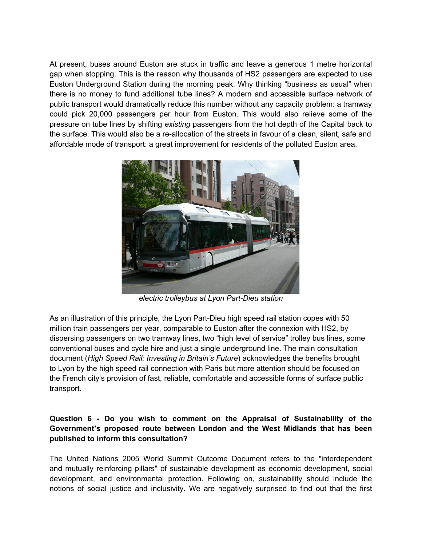At present, buses around Euston are stuck in traffic and leave a generous 1 metre horizontal gap when stopping. This is the reason why thousands of HS2 passengers are expected to use Euston Underground Station during the morning peak. Why thinking "business as usual" when there is no money to fund additional tube lines? A modern and accessible surface network of public transport would dramatically reduce this number without any capacity problem: a tramway could pick 20,000 passengers per hour from Euston. This would also relieve some of the pressure on tube lines by shifting *existing* passengers from the hot depth of the Capital back to the surface. This would also be a re-allocation of the streets in favour of a clean, silent, safe and affordable mode of transport: a great improvement for residents of the polluted Euston area.



*electric trolleybus at Lyon Part-Dieu station*

As an illustration of this principle, the Lyon Part-Dieu high speed rail station copes with 50 million train passengers per year, comparable to Euston after the connexion with HS2, by dispersing passengers on two tramway lines, two "high level of service" trolley bus lines, some conventional buses and cycle hire and just a single underground line. The main consultation document (*High Speed Rail: Investing in Britain's Future*) acknowledges the benefits brought to Lyon by the high speed rail connection with Paris but more attention should be focused on the French city's provision of fast, reliable, comfortable and accessible forms of surface public transport.

### **Question 6 - Do you wish to comment on the Appraisal of Sustainability of the Government's proposed route between London and the West Midlands that has been published to inform this consultation?**

The United Nations 2005 World Summit Outcome Document refers to the "interdependent and mutually reinforcing pillars" of sustainable development as economic development, social development, and environmental protection. Following on, sustainability should include the notions of social justice and inclusivity. We are negatively surprised to find out that the first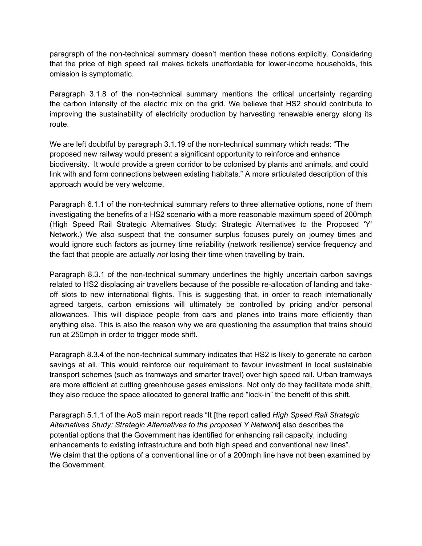paragraph of the non-technical summary doesn't mention these notions explicitly. Considering that the price of high speed rail makes tickets unaffordable for lower-income households, this omission is symptomatic.

Paragraph 3.1.8 of the non-technical summary mentions the critical uncertainty regarding the carbon intensity of the electric mix on the grid. We believe that HS2 should contribute to improving the sustainability of electricity production by harvesting renewable energy along its route.

We are left doubtful by paragraph 3.1.19 of the non-technical summary which reads: "The proposed new railway would present a significant opportunity to reinforce and enhance biodiversity. It would provide a green corridor to be colonised by plants and animals, and could link with and form connections between existing habitats." A more articulated description of this approach would be very welcome.

Paragraph 6.1.1 of the non-technical summary refers to three alternative options, none of them investigating the benefits of a HS2 scenario with a more reasonable maximum speed of 200mph (High Speed Rail Strategic Alternatives Study: Strategic Alternatives to the Proposed 'Y' Network.) We also suspect that the consumer surplus focuses purely on journey times and would ignore such factors as journey time reliability (network resilience) service frequency and the fact that people are actually *not* losing their time when travelling by train.

Paragraph 8.3.1 of the non-technical summary underlines the highly uncertain carbon savings related to HS2 displacing air travellers because of the possible re-allocation of landing and takeoff slots to new international flights. This is suggesting that, in order to reach internationally agreed targets, carbon emissions will ultimately be controlled by pricing and/or personal allowances. This will displace people from cars and planes into trains more efficiently than anything else. This is also the reason why we are questioning the assumption that trains should run at 250mph in order to trigger mode shift.

Paragraph 8.3.4 of the non-technical summary indicates that HS2 is likely to generate no carbon savings at all. This would reinforce our requirement to favour investment in local sustainable transport schemes (such as tramways and smarter travel) over high speed rail. Urban tramways are more efficient at cutting greenhouse gases emissions. Not only do they facilitate mode shift, they also reduce the space allocated to general traffic and "lock-in" the benefit of this shift.

Paragraph 5.1.1 of the AoS main report reads "It [the report called *High Speed Rail Strategic Alternatives Study: Strategic Alternatives to the proposed Y Network*] also describes the potential options that the Government has identified for enhancing rail capacity, including enhancements to existing infrastructure and both high speed and conventional new lines". We claim that the options of a conventional line or of a 200mph line have not been examined by the Government.